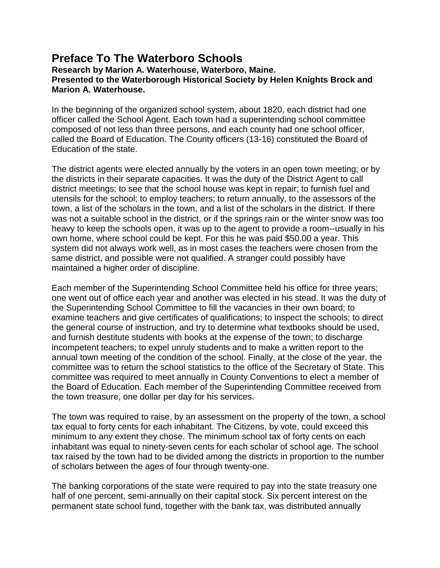# **Preface To The Waterboro Schools**

**Research by Marion A. Waterhouse, Waterboro, Maine. Presented to the Waterborough Historical Society by Helen Knights Brock and Marion A. Waterhouse.** 

In the beginning of the organized school system, about 1820, each district had one officer called the School Agent. Each town had a superintending school committee composed of not less than three persons, and each county had one school officer, called the Board of Education. The County officers (13-16) constituted the Board of Education of the state.

The district agents were elected annually by the voters in an open town meeting; or by the districts in their separate capacities. It was the duty of the District Agent to call district meetings; to see that the school house was kept in repair; to furnish fuel and utensils for the school; to employ teachers; to return annually, to the assessors of the town, a list of the scholars in the town, and a list of the scholars in the district. If there was not a suitable school in the district, or if the springs rain or the winter snow was too heavy to keep the schools open, it was up to the agent to provide a room--usually in his own home, where school could be kept. For this he was paid \$50.00 a year. This system did not always work well, as in most cases the teachers were chosen from the same district, and possible were not qualified. A stranger could possibly have maintained a higher order of discipline.

Each member of the Superintending School Committee held his office for three years; one went out of office each year and another was elected in his stead. It was the duty of the Superintending School Committee to fill the vacancies in their own board; to examine teachers and give certificates of qualifications; to inspect the schools; to direct the general course of instruction, and try to determine what textbooks should be used, and furnish destitute students with books at the expense of the town; to discharge incompetent teachers; to expel unruly students and to make a written report to the annual town meeting of the condition of the school. Finally, at the close of the year, the committee was to return the school statistics to the office of the Secretary of State. This committee was required to meet annually in County Conventions to elect a member of the Board of Education. Each member of the Superintending Committee received from the town treasure, one dollar per day for his services.

The town was required to raise, by an assessment on the property of the town, a school tax equal to forty cents for each inhabitant. The Citizens, by vote, could exceed this minimum to any extent they chose. The minimum school tax of forty cents on each inhabitant was equal to ninety-seven cents for each scholar of school age. The school tax raised by the town had to be divided among the districts in proportion to the number of scholars between the ages of four through twenty-one.

The banking corporations of the state were required to pay into the state treasury one half of one percent, semi-annually on their capital stock. Six percent interest on the permanent state school fund, together with the bank tax, was distributed annually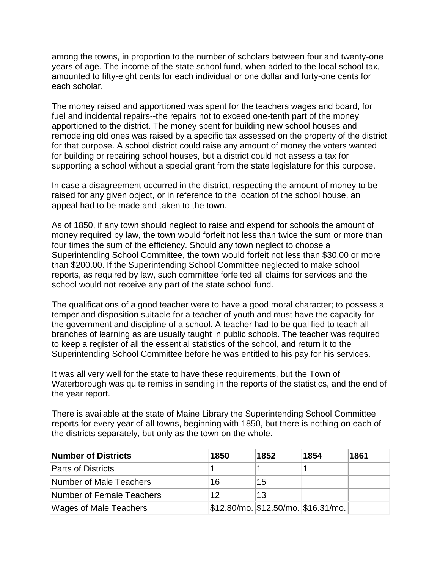among the towns, in proportion to the number of scholars between four and twenty-one years of age. The income of the state school fund, when added to the local school tax, amounted to fifty-eight cents for each individual or one dollar and forty-one cents for each scholar.

The money raised and apportioned was spent for the teachers wages and board, for fuel and incidental repairs--the repairs not to exceed one-tenth part of the money apportioned to the district. The money spent for building new school houses and remodeling old ones was raised by a specific tax assessed on the property of the district for that purpose. A school district could raise any amount of money the voters wanted for building or repairing school houses, but a district could not assess a tax for supporting a school without a special grant from the state legislature for this purpose.

In case a disagreement occurred in the district, respecting the amount of money to be raised for any given object, or in reference to the location of the school house, an appeal had to be made and taken to the town.

As of 1850, if any town should neglect to raise and expend for schools the amount of money required by law, the town would forfeit not less than twice the sum or more than four times the sum of the efficiency. Should any town neglect to choose a Superintending School Committee, the town would forfeit not less than \$30.00 or more than \$200.00. If the Superintending School Committee neglected to make school reports, as required by law, such committee forfeited all claims for services and the school would not receive any part of the state school fund.

The qualifications of a good teacher were to have a good moral character; to possess a temper and disposition suitable for a teacher of youth and must have the capacity for the government and discipline of a school. A teacher had to be qualified to teach all branches of learning as are usually taught in public schools. The teacher was required to keep a register of all the essential statistics of the school, and return it to the Superintending School Committee before he was entitled to his pay for his services.

It was all very well for the state to have these requirements, but the Town of Waterborough was quite remiss in sending in the reports of the statistics, and the end of the year report.

There is available at the state of Maine Library the Superintending School Committee reports for every year of all towns, beginning with 1850, but there is nothing on each of the districts separately, but only as the town on the whole.

| <b>Number of Districts</b>    | 1850 | 1852 | 1854                                | 1861 |
|-------------------------------|------|------|-------------------------------------|------|
| <b>Parts of Districts</b>     |      |      |                                     |      |
| Number of Male Teachers       | 16   | 15   |                                     |      |
| Number of Female Teachers     | 12   | 13   |                                     |      |
| <b>Wages of Male Teachers</b> |      |      | \$12.80/mo. \$12.50/mo. \$16.31/mo. |      |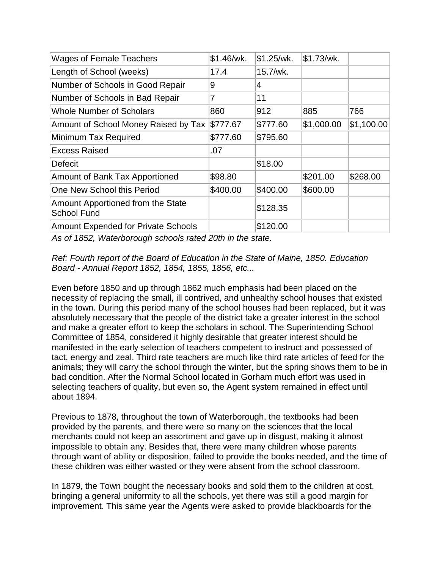| <b>Wages of Female Teachers</b>                         | \$1.46/wk. | \$1.25/wk. | \$1.73/wk. |            |
|---------------------------------------------------------|------------|------------|------------|------------|
| Length of School (weeks)                                | 17.4       | 15.7/wk.   |            |            |
| Number of Schools in Good Repair                        | 9          | 4          |            |            |
| Number of Schools in Bad Repair                         | 7          | 11         |            |            |
| <b>Whole Number of Scholars</b>                         | 860        | 912        | 885        | 766        |
| Amount of School Money Raised by Tax \$777.67           |            | \$777.60   | \$1,000.00 | \$1,100.00 |
| Minimum Tax Required                                    | \$777.60   | \$795.60   |            |            |
| <b>Excess Raised</b>                                    | .07        |            |            |            |
| <b>Defecit</b>                                          |            | \$18.00    |            |            |
| Amount of Bank Tax Apportioned                          | \$98.80    |            | \$201.00   | \$268.00   |
| One New School this Period                              | \$400.00   | \$400.00   | \$600.00   |            |
| Amount Apportioned from the State<br><b>School Fund</b> |            | \$128.35   |            |            |
| <b>Amount Expended for Private Schools</b>              |            | \$120.00   |            |            |

*As of 1852, Waterborough schools rated 20th in the state.*

*Ref: Fourth report of the Board of Education in the State of Maine, 1850. Education Board - Annual Report 1852, 1854, 1855, 1856, etc...*

Even before 1850 and up through 1862 much emphasis had been placed on the necessity of replacing the small, ill contrived, and unhealthy school houses that existed in the town. During this period many of the school houses had been replaced, but it was absolutely necessary that the people of the district take a greater interest in the school and make a greater effort to keep the scholars in school. The Superintending School Committee of 1854, considered it highly desirable that greater interest should be manifested in the early selection of teachers competent to instruct and possessed of tact, energy and zeal. Third rate teachers are much like third rate articles of feed for the animals; they will carry the school through the winter, but the spring shows them to be in bad condition. After the Normal School located in Gorham much effort was used in selecting teachers of quality, but even so, the Agent system remained in effect until about 1894.

Previous to 1878, throughout the town of Waterborough, the textbooks had been provided by the parents, and there were so many on the sciences that the local merchants could not keep an assortment and gave up in disgust, making it almost impossible to obtain any. Besides that, there were many children whose parents through want of ability or disposition, failed to provide the books needed, and the time of these children was either wasted or they were absent from the school classroom.

In 1879, the Town bought the necessary books and sold them to the children at cost, bringing a general uniformity to all the schools, yet there was still a good margin for improvement. This same year the Agents were asked to provide blackboards for the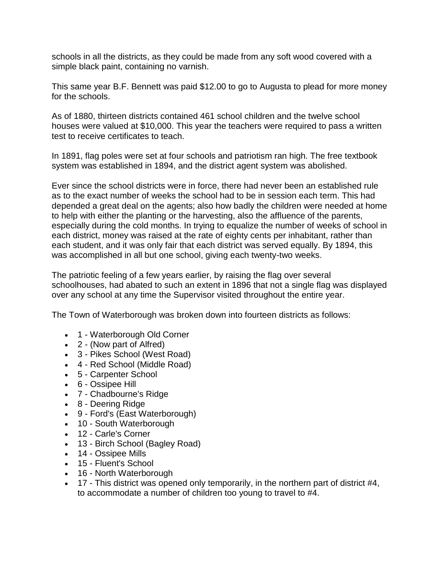schools in all the districts, as they could be made from any soft wood covered with a simple black paint, containing no varnish.

This same year B.F. Bennett was paid \$12.00 to go to Augusta to plead for more money for the schools.

As of 1880, thirteen districts contained 461 school children and the twelve school houses were valued at \$10,000. This year the teachers were required to pass a written test to receive certificates to teach.

In 1891, flag poles were set at four schools and patriotism ran high. The free textbook system was established in 1894, and the district agent system was abolished.

Ever since the school districts were in force, there had never been an established rule as to the exact number of weeks the school had to be in session each term. This had depended a great deal on the agents; also how badly the children were needed at home to help with either the planting or the harvesting, also the affluence of the parents, especially during the cold months. In trying to equalize the number of weeks of school in each district, money was raised at the rate of eighty cents per inhabitant, rather than each student, and it was only fair that each district was served equally. By 1894, this was accomplished in all but one school, giving each twenty-two weeks.

The patriotic feeling of a few years earlier, by raising the flag over several schoolhouses, had abated to such an extent in 1896 that not a single flag was displayed over any school at any time the Supervisor visited throughout the entire year.

The Town of Waterborough was broken down into fourteen districts as follows:

- 1 Waterborough Old Corner
- 2 (Now part of Alfred)
- 3 Pikes School (West Road)
- 4 Red School (Middle Road)
- 5 Carpenter School
- 6 Ossipee Hill
- 7 Chadbourne's Ridge
- 8 Deering Ridge
- 9 Ford's (East Waterborough)
- 10 South Waterborough
- 12 Carle's Corner
- 13 Birch School (Bagley Road)
- 14 Ossipee Mills
- 15 Fluent's School
- 16 North Waterborough
- $\bullet$  17 This district was opened only temporarily, in the northern part of district #4, to accommodate a number of children too young to travel to #4.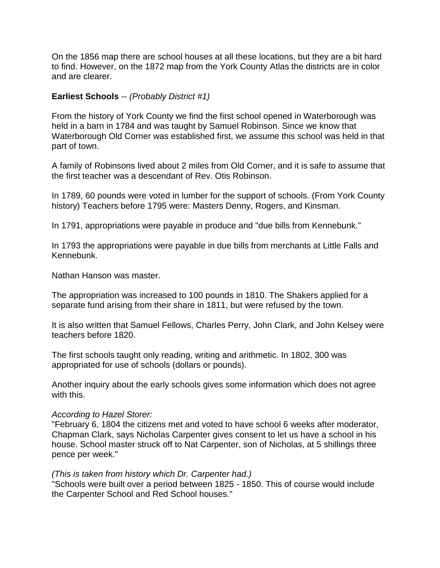On the 1856 map there are school houses at all these locations, but they are a bit hard to find. However, on the 1872 map from the York County Atlas the districts are in color and are clearer.

### **Earliest Schools** -- *(Probably District #1)*

From the history of York County we find the first school opened in Waterborough was held in a barn in 1784 and was taught by Samuel Robinson. Since we know that Waterborough Old Corner was established first, we assume this school was held in that part of town.

A family of Robinsons lived about 2 miles from Old Corner, and it is safe to assume that the first teacher was a descendant of Rev. Otis Robinson.

In 1789, 60 pounds were voted in lumber for the support of schools. (From York County history) Teachers before 1795 were: Masters Denny, Rogers, and Kinsman.

In 1791, appropriations were payable in produce and "due bills from Kennebunk."

In 1793 the appropriations were payable in due bills from merchants at Little Falls and Kennebunk.

Nathan Hanson was master.

The appropriation was increased to 100 pounds in 1810. The Shakers applied for a separate fund arising from their share in 1811, but were refused by the town.

It is also written that Samuel Fellows, Charles Perry, John Clark, and John Kelsey were teachers before 1820.

The first schools taught only reading, writing and arithmetic. In 1802, 300 was appropriated for use of schools (dollars or pounds).

Another inquiry about the early schools gives some information which does not agree with this.

#### *According to Hazel Storer:*

"February 6, 1804 the citizens met and voted to have school 6 weeks after moderator, Chapman Clark, says Nicholas Carpenter gives consent to let us have a school in his house. School master struck off to Nat Carpenter, son of Nicholas, at 5 shillings three pence per week."

#### *(This is taken from history which Dr. Carpenter had.)*

"Schools were built over a period between 1825 - 1850. This of course would include the Carpenter School and Red School houses."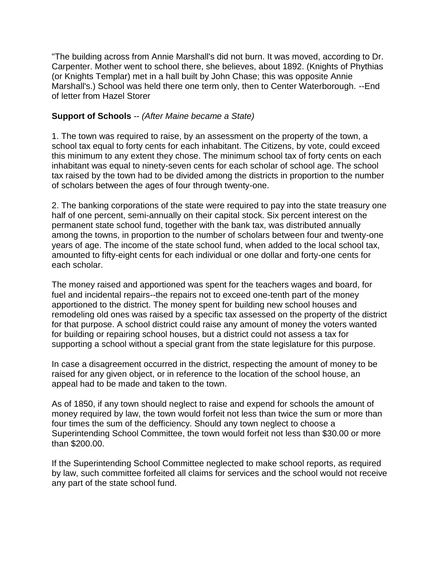"The building across from Annie Marshall's did not burn. It was moved, according to Dr. Carpenter. Mother went to school there, she believes, about 1892. (Knights of Phythias (or Knights Templar) met in a hall built by John Chase; this was opposite Annie Marshall's.) School was held there one term only, then to Center Waterborough. --End of letter from Hazel Storer

## **Support of Schools** -- *(After Maine became a State)*

1. The town was required to raise, by an assessment on the property of the town, a school tax equal to forty cents for each inhabitant. The Citizens, by vote, could exceed this minimum to any extent they chose. The minimum school tax of forty cents on each inhabitant was equal to ninety-seven cents for each scholar of school age. The school tax raised by the town had to be divided among the districts in proportion to the number of scholars between the ages of four through twenty-one.

2. The banking corporations of the state were required to pay into the state treasury one half of one percent, semi-annually on their capital stock. Six percent interest on the permanent state school fund, together with the bank tax, was distributed annually among the towns, in proportion to the number of scholars between four and twenty-one years of age. The income of the state school fund, when added to the local school tax, amounted to fifty-eight cents for each individual or one dollar and forty-one cents for each scholar.

The money raised and apportioned was spent for the teachers wages and board, for fuel and incidental repairs--the repairs not to exceed one-tenth part of the money apportioned to the district. The money spent for building new school houses and remodeling old ones was raised by a specific tax assessed on the property of the district for that purpose. A school district could raise any amount of money the voters wanted for building or repairing school houses, but a district could not assess a tax for supporting a school without a special grant from the state legislature for this purpose.

In case a disagreement occurred in the district, respecting the amount of money to be raised for any given object, or in reference to the location of the school house, an appeal had to be made and taken to the town.

As of 1850, if any town should neglect to raise and expend for schools the amount of money required by law, the town would forfeit not less than twice the sum or more than four times the sum of the defficiency. Should any town neglect to choose a Superintending School Committee, the town would forfeit not less than \$30.00 or more than \$200.00.

If the Superintending School Committee neglected to make school reports, as required by law, such committee forfeited all claims for services and the school would not receive any part of the state school fund.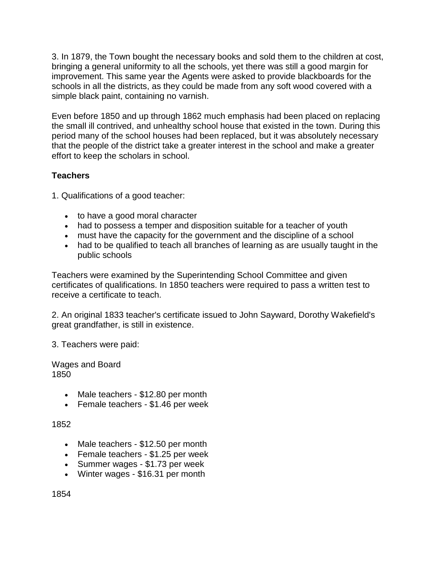3. In 1879, the Town bought the necessary books and sold them to the children at cost, bringing a general uniformity to all the schools, yet there was still a good margin for improvement. This same year the Agents were asked to provide blackboards for the schools in all the districts, as they could be made from any soft wood covered with a simple black paint, containing no varnish.

Even before 1850 and up through 1862 much emphasis had been placed on replacing the small ill contrived, and unhealthy school house that existed in the town. During this period many of the school houses had been replaced, but it was absolutely necessary that the people of the district take a greater interest in the school and make a greater effort to keep the scholars in school.

# **Teachers**

1. Qualifications of a good teacher:

- to have a good moral character
- had to possess a temper and disposition suitable for a teacher of youth
- must have the capacity for the government and the discipline of a school
- had to be qualified to teach all branches of learning as are usually taught in the public schools

Teachers were examined by the Superintending School Committee and given certificates of qualifications. In 1850 teachers were required to pass a written test to receive a certificate to teach.

2. An original 1833 teacher's certificate issued to John Sayward, Dorothy Wakefield's great grandfather, is still in existence.

3. Teachers were paid:

Wages and Board 1850

- Male teachers \$12.80 per month
- Female teachers \$1.46 per week

1852

- Male teachers \$12.50 per month
- Female teachers \$1.25 per week
- Summer wages \$1.73 per week
- Winter wages \$16.31 per month

1854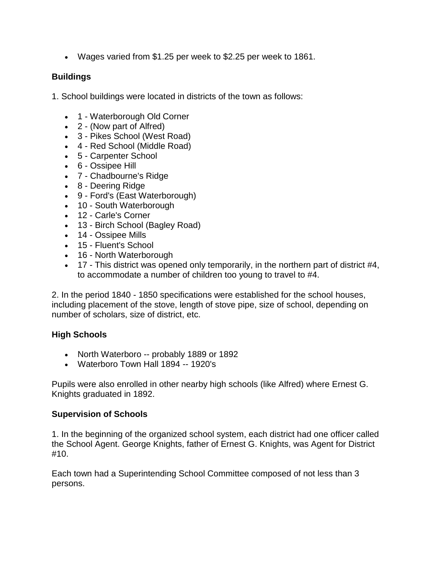Wages varied from \$1.25 per week to \$2.25 per week to 1861.

# **Buildings**

1. School buildings were located in districts of the town as follows:

- 1 Waterborough Old Corner
- 2 (Now part of Alfred)
- 3 Pikes School (West Road)
- 4 Red School (Middle Road)
- 5 Carpenter School
- 6 Ossipee Hill
- 7 Chadbourne's Ridge
- 8 Deering Ridge
- 9 Ford's (East Waterborough)
- 10 South Waterborough
- 12 Carle's Corner
- 13 Birch School (Bagley Road)
- 14 Ossipee Mills
- 15 Fluent's School
- 16 North Waterborough
- $\bullet$  17 This district was opened only temporarily, in the northern part of district #4, to accommodate a number of children too young to travel to #4.

2. In the period 1840 - 1850 specifications were established for the school houses, including placement of the stove, length of stove pipe, size of school, depending on number of scholars, size of district, etc.

# **High Schools**

- North Waterboro -- probably 1889 or 1892
- Waterboro Town Hall 1894 -- 1920's

Pupils were also enrolled in other nearby high schools (like Alfred) where Ernest G. Knights graduated in 1892.

### **Supervision of Schools**

1. In the beginning of the organized school system, each district had one officer called the School Agent. George Knights, father of Ernest G. Knights, was Agent for District #10.

Each town had a Superintending School Committee composed of not less than 3 persons.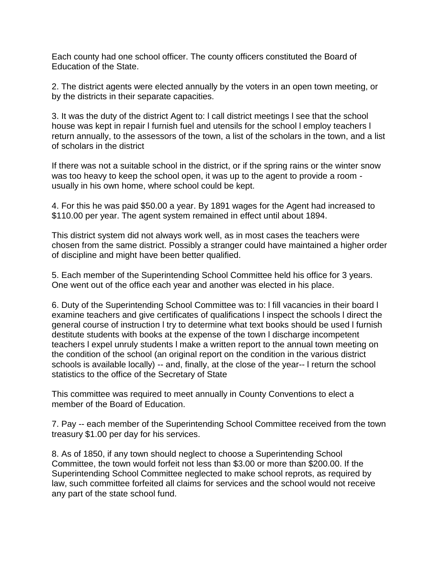Each county had one school officer. The county officers constituted the Board of Education of the State.

2. The district agents were elected annually by the voters in an open town meeting, or by the districts in their separate capacities.

3. It was the duty of the district Agent to: l call district meetings l see that the school house was kept in repair l furnish fuel and utensils for the school l employ teachers l return annually, to the assessors of the town, a list of the scholars in the town, and a list of scholars in the district

If there was not a suitable school in the district, or if the spring rains or the winter snow was too heavy to keep the school open, it was up to the agent to provide a room usually in his own home, where school could be kept.

4. For this he was paid \$50.00 a year. By 1891 wages for the Agent had increased to \$110.00 per year. The agent system remained in effect until about 1894.

This district system did not always work well, as in most cases the teachers were chosen from the same district. Possibly a stranger could have maintained a higher order of discipline and might have been better qualified.

5. Each member of the Superintending School Committee held his office for 3 years. One went out of the office each year and another was elected in his place.

6. Duty of the Superintending School Committee was to: l fill vacancies in their board l examine teachers and give certificates of qualifications l inspect the schools l direct the general course of instruction l try to determine what text books should be used l furnish destitute students with books at the expense of the town l discharge incompetent teachers l expel unruly students l make a written report to the annual town meeting on the condition of the school (an original report on the condition in the various district schools is available locally) -- and, finally, at the close of the year-- l return the school statistics to the office of the Secretary of State

This committee was required to meet annually in County Conventions to elect a member of the Board of Education.

7. Pay -- each member of the Superintending School Committee received from the town treasury \$1.00 per day for his services.

8. As of 1850, if any town should neglect to choose a Superintending School Committee, the town would forfeit not less than \$3.00 or more than \$200.00. If the Superintending School Committee neglected to make school reprots, as required by law, such committee forfeited all claims for services and the school would not receive any part of the state school fund.